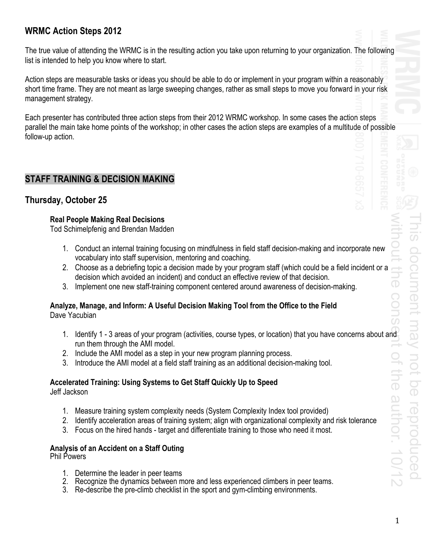## **WRMC Action Steps 2012**

The true value of attending the WRMC is in the resulting action you take upon returning to your organization. The following list is intended to help you know where to start.

Action steps are measurable tasks or ideas you should be able to do or implement in your program within a reasonably short time frame. They are not meant as large sweeping changes, rather as small steps to move you forward in your risk management strategy.

Each presenter has contributed three action steps from their 2012 WRMC workshop. In some cases the action steps parallel the main take home points of the workshop; in other cases the action steps are examples of a multitude of possible follow-up action.

## **STAFF TRAINING & DECISION MAKING**

### **Thursday, October 25**

#### **Real People Making Real Decisions**

Tod Schimelpfenig and Brendan Madden

- 1. Conduct an internal training focusing on mindfulness in field staff decision-making and incorporate new vocabulary into staff supervision, mentoring and coaching.
- 2. Choose as a debriefing topic a decision made by your program staff (which could be a field incident or a decision which avoided an incident) and conduct an effective review of that decision.
- 3. Implement one new staff-training component centered around awareness of decision-making.

# **Analyze, Manage, and Inform: A Useful Decision Making Tool from the Office to the Field**

Dave Yacubian

- 1. Identify 1 3 areas of your program (activities, course types, or location) that you have concerns about and run them through the AMI model.
- 2. Include the AMI model as a step in your new program planning process.
- 3. Introduce the AMI model at a field staff training as an additional decision-making tool.

#### **Accelerated Training: Using Systems to Get Staff Quickly Up to Speed**

Jeff Jackson

- 1. Measure training system complexity needs (System Complexity Index tool provided)
- 2. Identify acceleration areas of training system; align with organizational complexity and risk tolerance
- 3. Focus on the hired hands target and differentiate training to those who need it most.

## **Analysis of an Accident on a Staff Outing**

Phil Powers

- 1. Determine the leader in peer teams
- 2. Recognize the dynamics between more and less experienced climbers in peer teams.
- 3. Re-describe the pre-climb checklist in the sport and gym-climbing environments.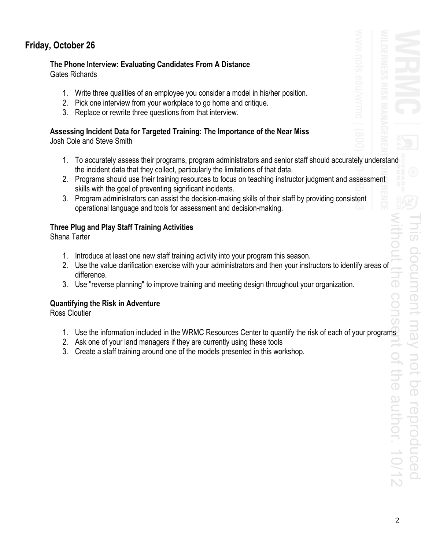## **Friday, October 26**

# **The Phone Interview: Evaluating Candidates From A Distance**

Gates Richards

- 1. Write three qualities of an employee you consider a model in his/her position.
- 2. Pick one interview from your workplace to go home and critique.
- 3. Replace or rewrite three questions from that interview.

#### **Assessing Incident Data for Targeted Training: The Importance of the Near Miss**  Josh Cole and Steve Smith

- 1. To accurately assess their programs, program administrators and senior staff should accurately understand the incident data that they collect, particularly the limitations of that data.
- 2. Programs should use their training resources to focus on teaching instructor judgment and assessment skills with the goal of preventing significant incidents.
- 3. Program administrators can assist the decision-making skills of their staff by providing consistent operational language and tools for assessment and decision-making.

### **Three Plug and Play Staff Training Activities**

Shana Tarter

- 1. Introduce at least one new staff training activity into your program this season.
- 2. Use the value clarification exercise with your administrators and then your instructors to identify areas of difference.
- 3. Use "reverse planning" to improve training and meeting design throughout your organization.

### **Quantifying the Risk in Adventure**

Ross Cloutier

- 1. Use the information included in the WRMC Resources Center to quantify the risk of each of your programs
- 2. Ask one of your land managers if they are currently using these tools
- 3. Create a staff training around one of the models presented in this workshop.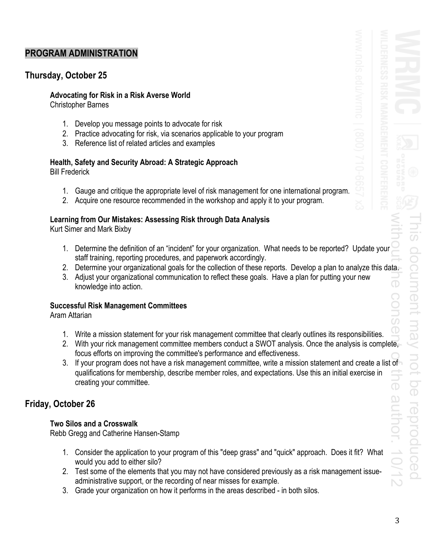## **PROGRAM ADMINISTRATION**

## **Thursday, October 25**

#### **Advocating for Risk in a Risk Averse World**

Christopher Barnes

- 1. Develop you message points to advocate for risk
- 2. Practice advocating for risk, via scenarios applicable to your program
- 3. Reference list of related articles and examples

## **Health, Safety and Security Abroad: A Strategic Approach**

Bill Frederick

- 1. Gauge and critique the appropriate level of risk management for one international program.
- 2. Acquire one resource recommended in the workshop and apply it to your program.

### **Learning from Our Mistakes: Assessing Risk through Data Analysis**

Kurt Simer and Mark Bixby

- 1. Determine the definition of an "incident" for your organization. What needs to be reported? Update your staff training, reporting procedures, and paperwork accordingly.
- 2. Determine your organizational goals for the collection of these reports. Develop a plan to analyze this data.
- 3. Adjust your organizational communication to reflect these goals. Have a plan for putting your new knowledge into action.

#### **Successful Risk Management Committees**

Aram Attarian

- 1. Write a mission statement for your risk management committee that clearly outlines its responsibilities.
- 2. With your rick management committee members conduct a SWOT analysis. Once the analysis is complete, focus efforts on improving the committee's performance and effectiveness.
- 3. If your program does not have a risk management committee, write a mission statement and create a list of qualifications for membership, describe member roles, and expectations. Use this an initial exercise in creating your committee.

## **Friday, October 26**

#### **Two Silos and a Crosswalk**

Rebb Gregg and Catherine Hansen-Stamp

- 1. Consider the application to your program of this "deep grass" and "quick" approach. Does it fit? What would you add to either silo?
- 2. Test some of the elements that you may not have considered previously as a risk management issueadministrative support, or the recording of near misses for example.
- 3. Grade your organization on how it performs in the areas described in both silos.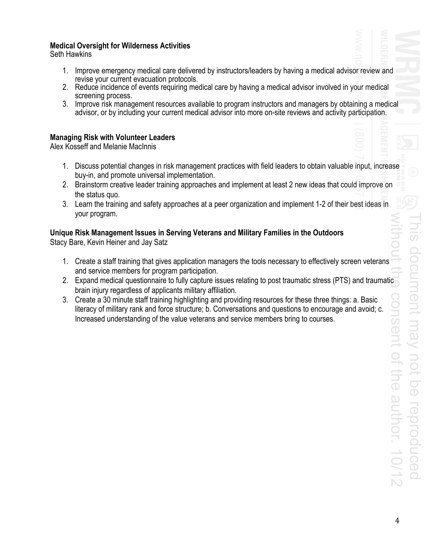#### **Medical Oversight for Wilderness Activities**

Seth Hawkins

- 1. Improve emergency medical care delivered by instructors/leaders by having a medical advisor review and revise your current evacuation protocols.
- 2. Reduce incidence of events requiring medical care by having a medical advisor involved in your medical screening process.
- 3. Improve risk management resources available to program instructors and managers by obtaining a medical advisor, or by including your current medical advisor into more on-site reviews and activity participation.

#### **Managing Risk with Volunteer Leaders**

Alex Kosseff and Melanie MacInnis

- 1. Discuss potential changes in risk management practices with field leaders to obtain valuable input, increase buy-in, and promote universal implementation.
- 2. Brainstorm creative leader training approaches and implement at least 2 new ideas that could improve on the status quo.
- 3. Learn the training and safety approaches at a peer organization and implement 1-2 of their best ideas in your program.

### **Unique Risk Management Issues in Serving Veterans and Military Families in the Outdoors**

Stacy Bare, Kevin Heiner and Jay Satz

- 1. Create a staff training that gives application managers the tools necessary to effectively screen veterans and service members for program participation.
- 2. Expand medical questionnaire to fully capture issues relating to post traumatic stress (PTS) and traumatic brain injury regardless of applicants military affiliation.
- 3. Create a 30 minute staff training highlighting and providing resources for these three things: a. Basic literacy of military rank and force structure; b. Conversations and questions to encourage and avoid; c. Increased understanding of the value veterans and service members bring to courses.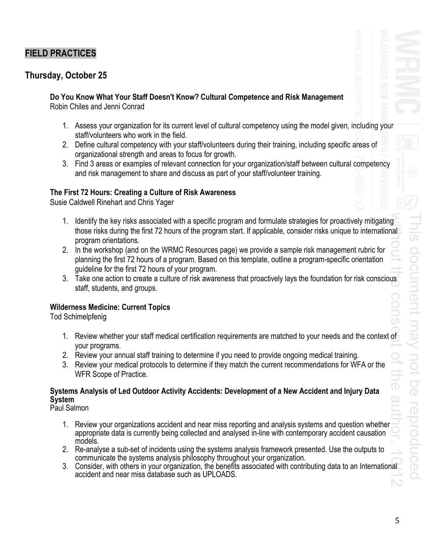## **FIELD PRACTICES**

## **Thursday, October 25**

**Do You Know What Your Staff Doesn't Know? Cultural Competence and Risk Management**  Robin Chiles and Jenni Conrad

- 1. Assess your organization for its current level of cultural competency using the model given, including your staff/volunteers who work in the field.
- 2. Define cultural competency with your staff/volunteers during their training, including specific areas of organizational strength and areas to focus for growth.
- 3. Find 3 areas or examples of relevant connection for your organization/staff between cultural competency and risk management to share and discuss as part of your staff/volunteer training.

#### **The First 72 Hours: Creating a Culture of Risk Awareness**

Susie Caldwell Rinehart and Chris Yager

- 1. Identify the key risks associated with a specific program and formulate strategies for proactively mitigating those risks during the first 72 hours of the program start. If applicable, consider risks unique to international program orientations.
- 2. In the workshop (and on the WRMC Resources page) we provide a sample risk management rubric for planning the first 72 hours of a program. Based on this template, outline a program-specific orientation guideline for the first 72 hours of your program.
- 3. Take one action to create a culture of risk awareness that proactively lays the foundation for risk conscious staff, students, and groups.

#### **Wilderness Medicine: Current Topics**

Tod Schimelpfenig

- 1. Review whether your staff medical certification requirements are matched to your needs and the context of your programs.
- 2. Review your annual staff training to determine if you need to provide ongoing medical training.
- 3. Review your medical protocols to determine if they match the current recommendations for WFA or the WFR Scope of Practice.

### **Systems Analysis of Led Outdoor Activity Accidents: Development of a New Accident and Injury Data System**

Paul Salmon

- 1. Review your organizations accident and near miss reporting and analysis systems and question whether appropriate data is currently being collected and analysed in-line with contemporary accident causation models.
- 2. Re-analyse a sub-set of incidents using the systems analysis framework presented. Use the outputs to communicate the systems analysis philosophy throughout your organization.
- 3. Consider, with others in your organization, the benefits associated with contributing data to an International accident and near miss database such as UPLOADS.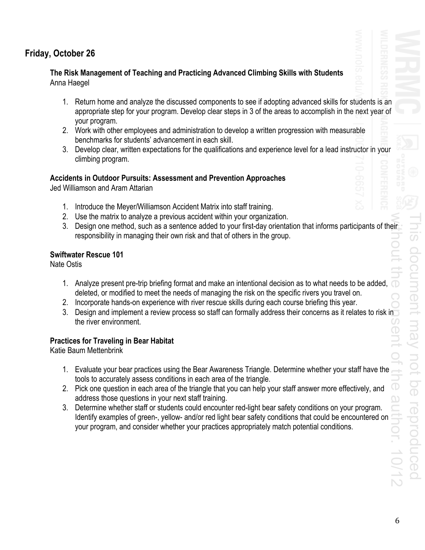## **Friday, October 26**

#### **The Risk Management of Teaching and Practicing Advanced Climbing Skills with Students**  Anna Haegel

- 1. Return home and analyze the discussed components to see if adopting advanced skills for students is an appropriate step for your program. Develop clear steps in 3 of the areas to accomplish in the next year of your program.
- 2. Work with other employees and administration to develop a written progression with measurable benchmarks for students' advancement in each skill.
- 3. Develop clear, written expectations for the qualifications and experience level for a lead instructor in your climbing program.

#### **Accidents in Outdoor Pursuits: Assessment and Prevention Approaches**

Jed Williamson and Aram Attarian

- 1. Introduce the Meyer/Williamson Accident Matrix into staff training.
- 2. Use the matrix to analyze a previous accident within your organization.
- 3. Design one method, such as a sentence added to your first-day orientation that informs participants of their responsibility in managing their own risk and that of others in the group.

#### **Swiftwater Rescue 101**

Nate Ostis

- 1. Analyze present pre-trip briefing format and make an intentional decision as to what needs to be added, deleted, or modified to meet the needs of managing the risk on the specific rivers you travel on.
- 2. Incorporate hands-on experience with river rescue skills during each course briefing this year.
- 3. Design and implement a review process so staff can formally address their concerns as it relates to risk in the river environment.

#### **Practices for Traveling in Bear Habitat**

Katie Baum Mettenbrink

- 1. Evaluate your bear practices using the Bear Awareness Triangle. Determine whether your staff have the tools to accurately assess conditions in each area of the triangle.
- 2. Pick one question in each area of the triangle that you can help your staff answer more effectively, and address those questions in your next staff training.
- 3. Determine whether staff or students could encounter red-light bear safety conditions on your program. Identify examples of green-, yellow- and/or red light bear safety conditions that could be encountered on your program, and consider whether your practices appropriately match potential conditions.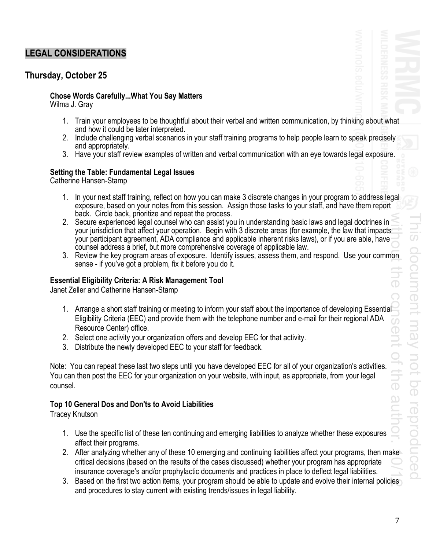## **LEGAL CONSIDERATIONS**

### **Thursday, October 25**

#### **Chose Words Carefully...What You Say Matters**  Wilma J. Gray

- 1. Train your employees to be thoughtful about their verbal and written communication, by thinking about what and how it could be later interpreted.
- 2. Include challenging verbal scenarios in your staff training programs to help people learn to speak precisely and appropriately.
- 3. Have your staff review examples of written and verbal communication with an eye towards legal exposure.

## **Setting the Table: Fundamental Legal Issues**

Catherine Hansen-Stamp

- 1. In your next staff training, reflect on how you can make 3 discrete changes in your program to address legal exposure, based on your notes from this session. Assign those tasks to your staff, and have them report back. Circle back, prioritize and repeat the process.
- 2. Secure experienced legal counsel who can assist you in understanding basic laws and legal doctrines in your jurisdiction that affect your operation. Begin with 3 discrete areas (for example, the law that impacts your participant agreement, ADA compliance and applicable inherent risks laws), or if you are able, have counsel address a brief, but more comprehensive coverage of applicable law.
- 3. Review the key program areas of exposure. Identify issues, assess them, and respond. Use your common sense - if you've got a problem, fix it before you do it.

#### **Essential Eligibility Criteria: A Risk Management Tool**

Janet Zeller and Catherine Hansen-Stamp

- 1. Arrange a short staff training or meeting to inform your staff about the importance of developing Essential Eligibility Criteria (EEC) and provide them with the telephone number and e-mail for their regional ADA Resource Center) office.
- 2. Select one activity your organization offers and develop EEC for that activity.
- 3. Distribute the newly developed EEC to your staff for feedback.

Note: You can repeat these last two steps until you have developed EEC for all of your organization's activities. You can then post the EEC for your organization on your website, with input, as appropriate, from your legal counsel.

#### **Top 10 General Dos and Don'ts to Avoid Liabilities**

Tracey Knutson

- 1. Use the specific list of these ten continuing and emerging liabilities to analyze whether these exposures affect their programs.
- 2. After analyzing whether any of these 10 emerging and continuing liabilities affect your programs, then make critical decisions (based on the results of the cases discussed) whether your program has appropriate insurance coverage's and/or prophylactic documents and practices in place to deflect legal liabilities.
- 3. Based on the first two action items, your program should be able to update and evolve their internal policies and procedures to stay current with existing trends/issues in legal liability.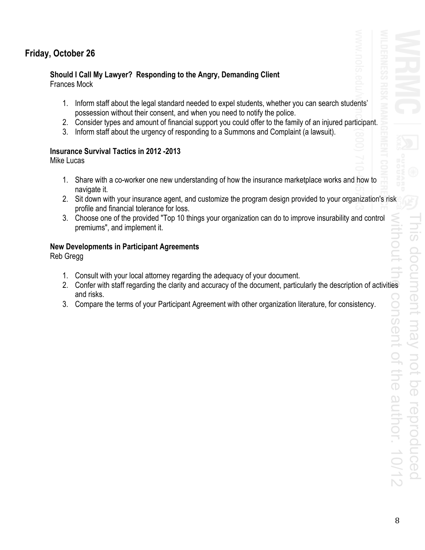## **Friday, October 26**

# **Should I Call My Lawyer? Responding to the Angry, Demanding Client**

Frances Mock

- 1. Inform staff about the legal standard needed to expel students, whether you can search students' possession without their consent, and when you need to notify the police.
- 2. Consider types and amount of financial support you could offer to the family of an injured participant.
- 3. Inform staff about the urgency of responding to a Summons and Complaint (a lawsuit).

### **Insurance Survival Tactics in 2012 -2013**

Mike Lucas

- 1. Share with a co-worker one new understanding of how the insurance marketplace works and how to navigate it.
- 2. Sit down with your insurance agent, and customize the program design provided to your organization's risk profile and financial tolerance for loss.
- 3. Choose one of the provided "Top 10 things your organization can do to improve insurability and control premiums", and implement it.

### **New Developments in Participant Agreements**

Reb Gregg

- 1. Consult with your local attorney regarding the adequacy of your document.
- 2. Confer with staff regarding the clarity and accuracy of the document, particularly the description of activities and risks.
- 3. Compare the terms of your Participant Agreement with other organization literature, for consistency.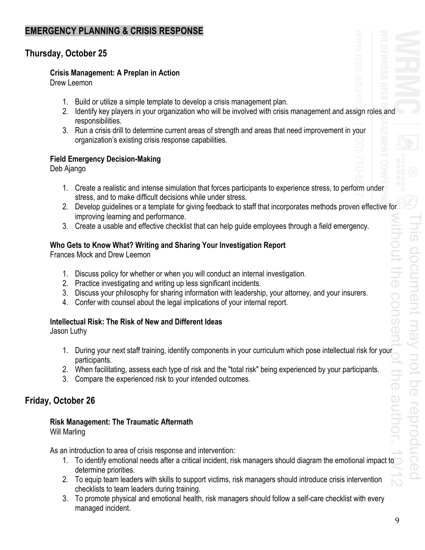## **EMERGENCY PLANNING & CRISIS RESPONSE**

## **Thursday, October 25**

#### **Crisis Management: A Preplan in Action**

Drew Leemon

- 1. Build or utilize a simple template to develop a crisis management plan.
- 2. Identify key players in your organization who will be involved with crisis management and assign roles and responsibilities.
- 3. Run a crisis drill to determine current areas of strength and areas that need improvement in your organization's existing crisis response capabilities.

### **Field Emergency Decision-Making**

Deb Ajango

- 1. Create a realistic and intense simulation that forces participants to experience stress, to perform under stress, and to make difficult decisions while under stress.
- 2. Develop guidelines or a template for giving feedback to staff that incorporates methods proven effective for improving learning and performance.
- 3. Create a usable and effective checklist that can help guide employees through a field emergency.

### **Who Gets to Know What? Writing and Sharing Your Investigation Report**

Frances Mock and Drew Leemon

- 1. Discuss policy for whether or when you will conduct an internal investigation.
- 2. Practice investigating and writing up less significant incidents.
- 3. Discuss your philosophy for sharing information with leadership, your attorney, and your insurers.
- 4. Confer with counsel about the legal implications of your internal report.

#### **Intellectual Risk: The Risk of New and Different Ideas**

Jason Luthy

- 1. During your next staff training, identify components in your curriculum which pose intellectual risk for your participants.
- 2. When facilitating, assess each type of risk and the "total risk" being experienced by your participants.
- 3. Compare the experienced risk to your intended outcomes.

## **Friday, October 26**

# **Risk Management: The Traumatic Aftermath**

Will Marling

As an introduction to area of crisis response and intervention:

- 1. To identify emotional needs after a critical incident, risk managers should diagram the emotional impact to determine priorities.
- 2. To equip team leaders with skills to support victims, risk managers should introduce crisis intervention checklists to team leaders during training.
- 3. To promote physical and emotional health, risk managers should follow a self-care checklist with every managed incident.